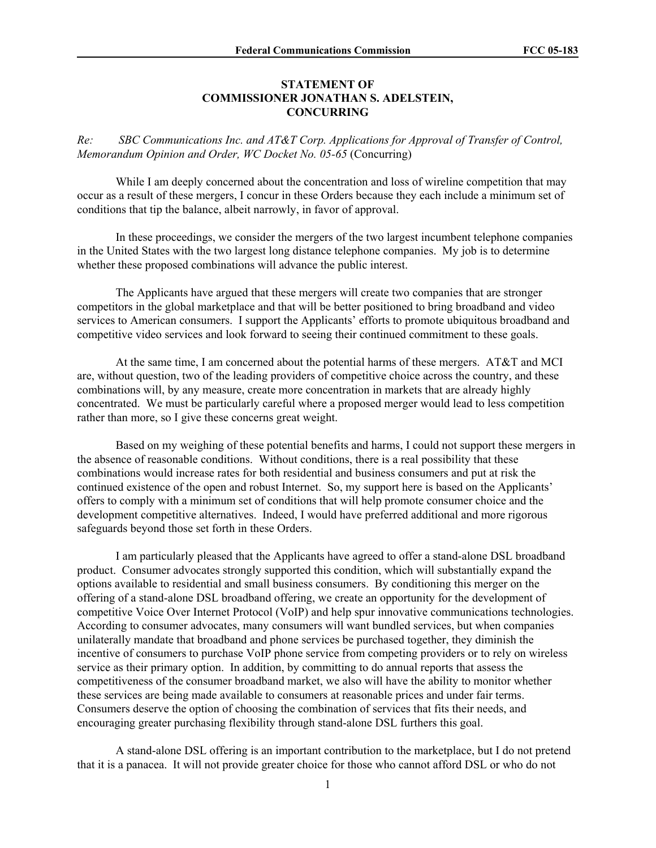## **STATEMENT OF COMMISSIONER JONATHAN S. ADELSTEIN, CONCURRING**

*Re: SBC Communications Inc. and AT&T Corp. Applications for Approval of Transfer of Control, Memorandum Opinion and Order, WC Docket No. 05-65* (Concurring)

While I am deeply concerned about the concentration and loss of wireline competition that may occur as a result of these mergers, I concur in these Orders because they each include a minimum set of conditions that tip the balance, albeit narrowly, in favor of approval.

In these proceedings, we consider the mergers of the two largest incumbent telephone companies in the United States with the two largest long distance telephone companies. My job is to determine whether these proposed combinations will advance the public interest.

The Applicants have argued that these mergers will create two companies that are stronger competitors in the global marketplace and that will be better positioned to bring broadband and video services to American consumers. I support the Applicants' efforts to promote ubiquitous broadband and competitive video services and look forward to seeing their continued commitment to these goals.

At the same time, I am concerned about the potential harms of these mergers. AT&T and MCI are, without question, two of the leading providers of competitive choice across the country, and these combinations will, by any measure, create more concentration in markets that are already highly concentrated. We must be particularly careful where a proposed merger would lead to less competition rather than more, so I give these concerns great weight.

Based on my weighing of these potential benefits and harms, I could not support these mergers in the absence of reasonable conditions. Without conditions, there is a real possibility that these combinations would increase rates for both residential and business consumers and put at risk the continued existence of the open and robust Internet. So, my support here is based on the Applicants' offers to comply with a minimum set of conditions that will help promote consumer choice and the development competitive alternatives. Indeed, I would have preferred additional and more rigorous safeguards beyond those set forth in these Orders.

I am particularly pleased that the Applicants have agreed to offer a stand-alone DSL broadband product. Consumer advocates strongly supported this condition, which will substantially expand the options available to residential and small business consumers. By conditioning this merger on the offering of a stand-alone DSL broadband offering, we create an opportunity for the development of competitive Voice Over Internet Protocol (VoIP) and help spur innovative communications technologies. According to consumer advocates, many consumers will want bundled services, but when companies unilaterally mandate that broadband and phone services be purchased together, they diminish the incentive of consumers to purchase VoIP phone service from competing providers or to rely on wireless service as their primary option. In addition, by committing to do annual reports that assess the competitiveness of the consumer broadband market, we also will have the ability to monitor whether these services are being made available to consumers at reasonable prices and under fair terms. Consumers deserve the option of choosing the combination of services that fits their needs, and encouraging greater purchasing flexibility through stand-alone DSL furthers this goal.

A stand-alone DSL offering is an important contribution to the marketplace, but I do not pretend that it is a panacea. It will not provide greater choice for those who cannot afford DSL or who do not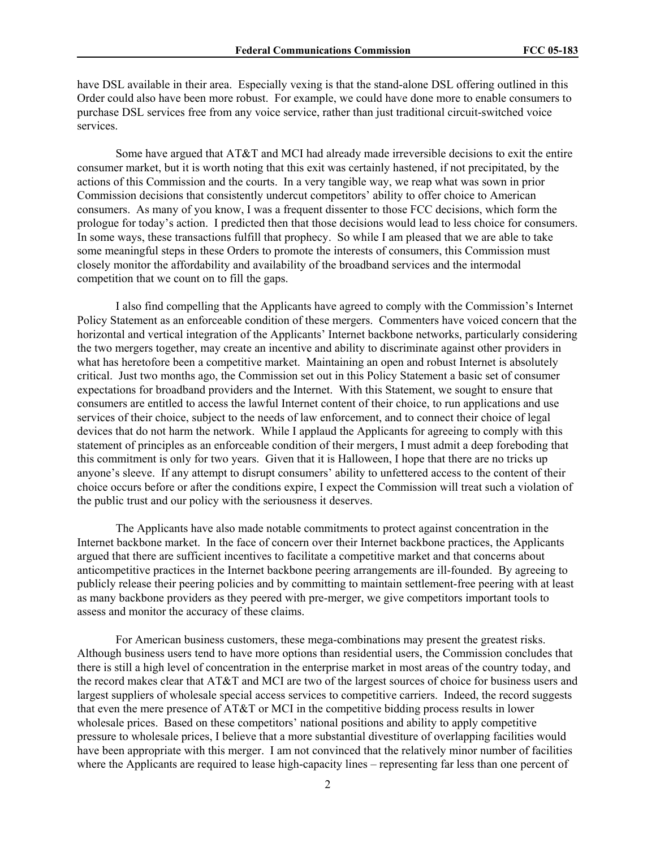have DSL available in their area. Especially vexing is that the stand-alone DSL offering outlined in this Order could also have been more robust. For example, we could have done more to enable consumers to purchase DSL services free from any voice service, rather than just traditional circuit-switched voice services.

Some have argued that AT&T and MCI had already made irreversible decisions to exit the entire consumer market, but it is worth noting that this exit was certainly hastened, if not precipitated, by the actions of this Commission and the courts. In a very tangible way, we reap what was sown in prior Commission decisions that consistently undercut competitors' ability to offer choice to American consumers. As many of you know, I was a frequent dissenter to those FCC decisions, which form the prologue for today's action. I predicted then that those decisions would lead to less choice for consumers. In some ways, these transactions fulfill that prophecy. So while I am pleased that we are able to take some meaningful steps in these Orders to promote the interests of consumers, this Commission must closely monitor the affordability and availability of the broadband services and the intermodal competition that we count on to fill the gaps.

I also find compelling that the Applicants have agreed to comply with the Commission's Internet Policy Statement as an enforceable condition of these mergers. Commenters have voiced concern that the horizontal and vertical integration of the Applicants' Internet backbone networks, particularly considering the two mergers together, may create an incentive and ability to discriminate against other providers in what has heretofore been a competitive market. Maintaining an open and robust Internet is absolutely critical. Just two months ago, the Commission set out in this Policy Statement a basic set of consumer expectations for broadband providers and the Internet. With this Statement, we sought to ensure that consumers are entitled to access the lawful Internet content of their choice, to run applications and use services of their choice, subject to the needs of law enforcement, and to connect their choice of legal devices that do not harm the network. While I applaud the Applicants for agreeing to comply with this statement of principles as an enforceable condition of their mergers, I must admit a deep foreboding that this commitment is only for two years. Given that it is Halloween, I hope that there are no tricks up anyone's sleeve. If any attempt to disrupt consumers' ability to unfettered access to the content of their choice occurs before or after the conditions expire, I expect the Commission will treat such a violation of the public trust and our policy with the seriousness it deserves.

The Applicants have also made notable commitments to protect against concentration in the Internet backbone market. In the face of concern over their Internet backbone practices, the Applicants argued that there are sufficient incentives to facilitate a competitive market and that concerns about anticompetitive practices in the Internet backbone peering arrangements are ill-founded. By agreeing to publicly release their peering policies and by committing to maintain settlement-free peering with at least as many backbone providers as they peered with pre-merger, we give competitors important tools to assess and monitor the accuracy of these claims.

For American business customers, these mega-combinations may present the greatest risks. Although business users tend to have more options than residential users, the Commission concludes that there is still a high level of concentration in the enterprise market in most areas of the country today, and the record makes clear that AT&T and MCI are two of the largest sources of choice for business users and largest suppliers of wholesale special access services to competitive carriers. Indeed, the record suggests that even the mere presence of AT&T or MCI in the competitive bidding process results in lower wholesale prices. Based on these competitors' national positions and ability to apply competitive pressure to wholesale prices, I believe that a more substantial divestiture of overlapping facilities would have been appropriate with this merger. I am not convinced that the relatively minor number of facilities where the Applicants are required to lease high-capacity lines – representing far less than one percent of